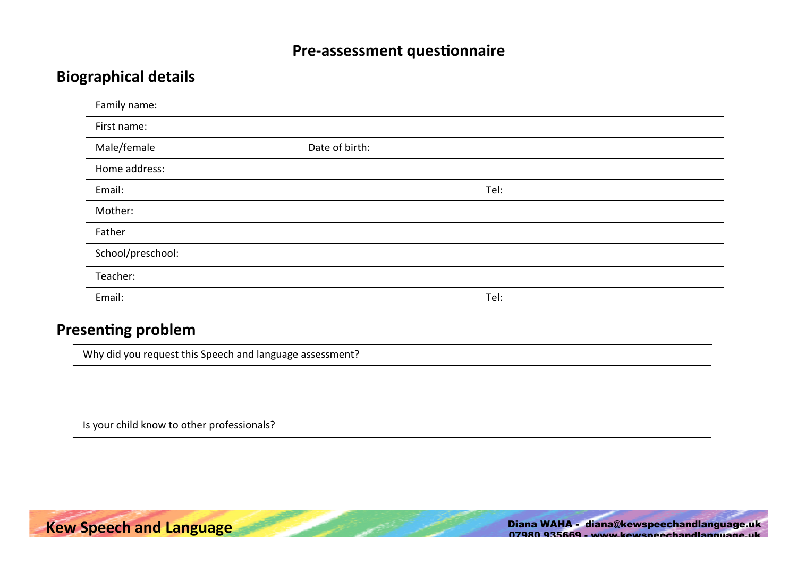# **Biographical details**

| Family name:      |                |      |
|-------------------|----------------|------|
| First name:       |                |      |
| Male/female       | Date of birth: |      |
| Home address:     |                |      |
| Email:            |                | Tel: |
| Mother:           |                |      |
| Father            |                |      |
| School/preschool: |                |      |
| Teacher:          |                |      |
| Email:            |                | Tel: |
|                   |                |      |

# **Presenting problem**

Why did you request this Speech and language assessment?

Is your child know to other professionals?

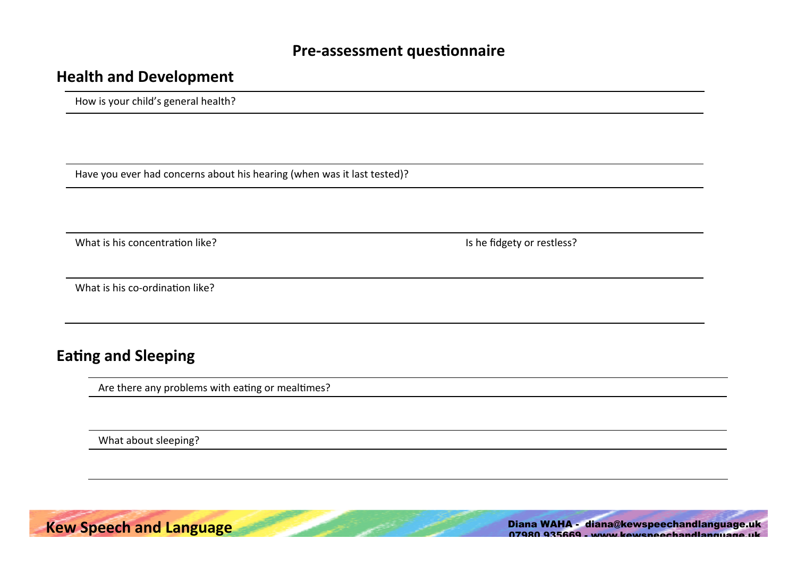#### **Health and Development**

How is your child's general health?

Have you ever had concerns about his hearing (when was it last tested)?

What is his concentration like? The state of the state of the fidgety or restless?

What is his co-ordination like?

# **Eating and Sleeping**

Are there any problems with eating or mealtimes?

What about sleeping?

**Kew Speech and Language and Speech and Language Speechand Speechand Speechandlanguage.uk** 07980 935669 - www.kewspeechandlanguage.uk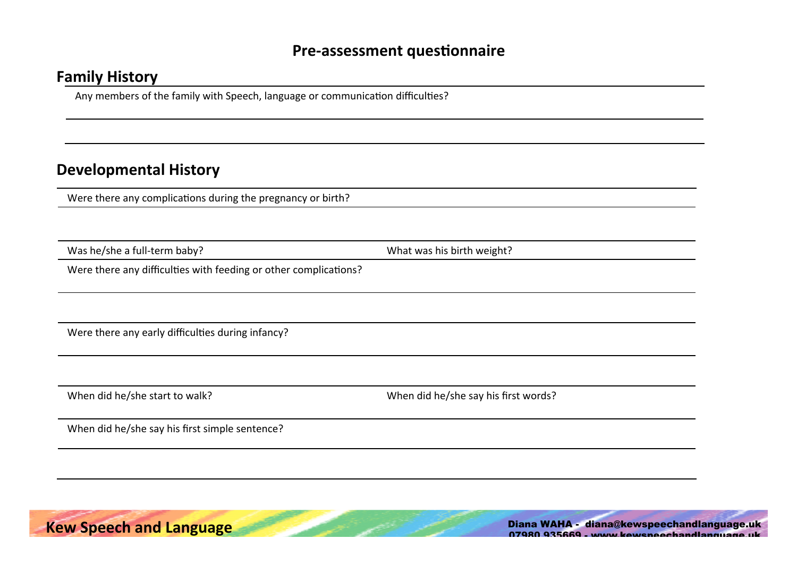# **Family History**

Any members of the family with Speech, language or communication difficulties?

# **Developmental History**

Were there any complications during the pregnancy or birth?

Was he/she a full-term baby? 
What was his birth weight?

Were there any difficulties with feeding or other complications?

Were there any early difficulties during infancy?

When did he/she start to walk? When did he/she say his first words?

When did he/she say his first simple sentence?

**Kew Speech and Language and Speech and Language Speechand Speechand Speechand Speechandlanguage.uk** 07980 935669 - www.kewspeechandlanguage.uk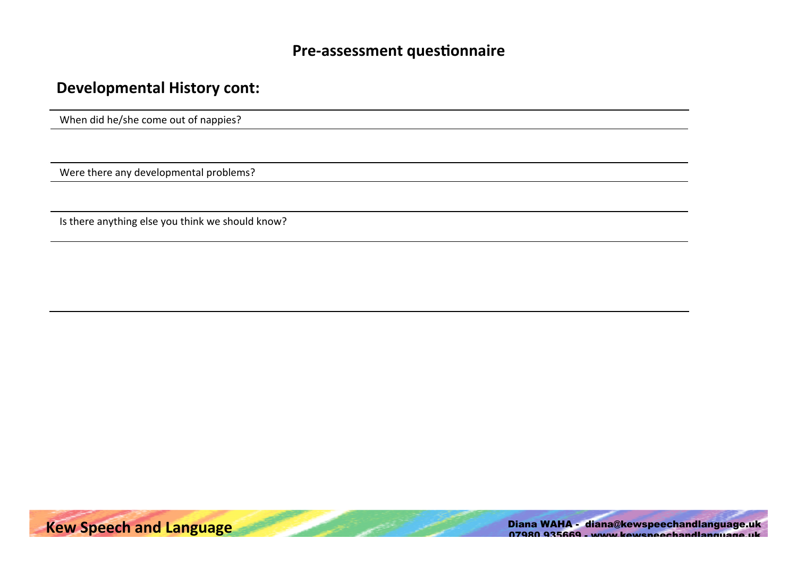# **Developmental History cont:**

When did he/she come out of nappies?

Were there any developmental problems?

Is there anything else you think we should know?



**Kew Speech and Language and Speech and Speech and Speech and Speech and Speech and Speechand Speechandlanguage.uk** 07980 935669 - www.kewspeechandlanguage.uk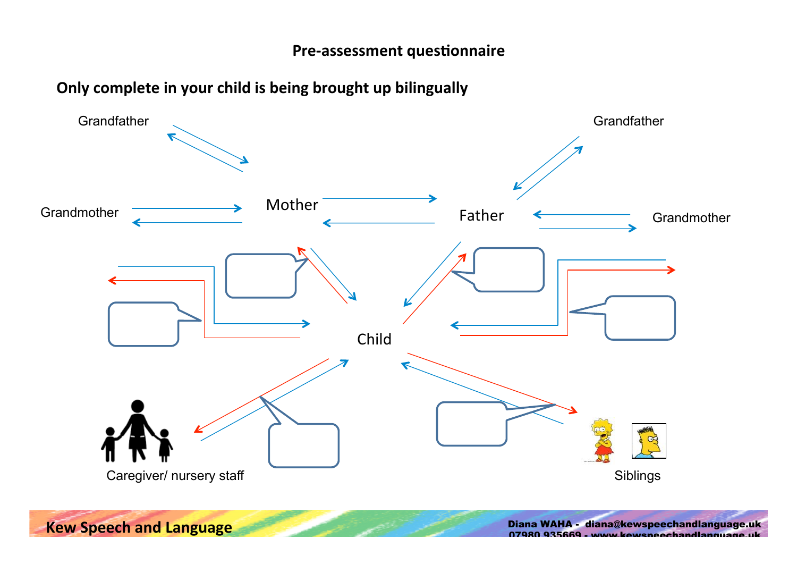# **Only complete in your child is being brought up bilingually**